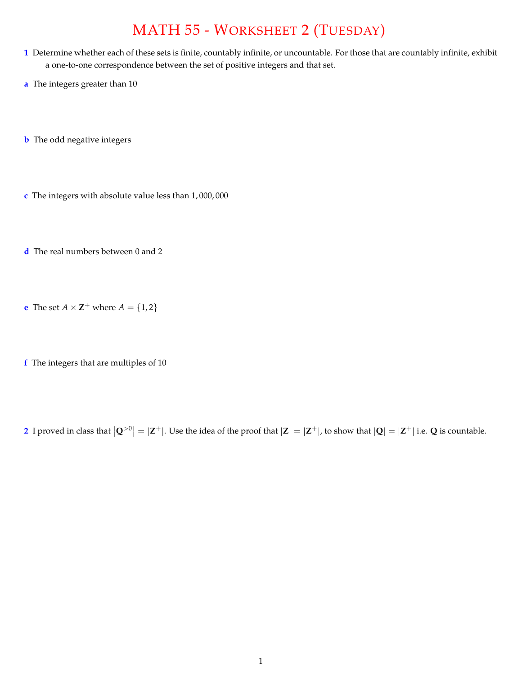## MATH 55 - WORKSHEET 2 (TUESDAY)

- **1** Determine whether each of these sets is finite, countably infinite, or uncountable. For those that are countably infinite, exhibit a one-to-one correspondence between the set of positive integers and that set.
- **a** The integers greater than 10
- **b** The odd negative integers
- **c** The integers with absolute value less than 1, 000, 000
- **d** The real numbers between 0 and 2
- **e** The set  $A \times \mathbb{Z}^+$  where  $A = \{1, 2\}$
- **f** The integers that are multiples of 10

2 I proved in class that  $|Q^{>0}| = |Z^+|$ . Use the idea of the proof that  $|Z| = |Z^+|$ , to show that  $|Q| = |Z^+|$  i.e. Q is countable.